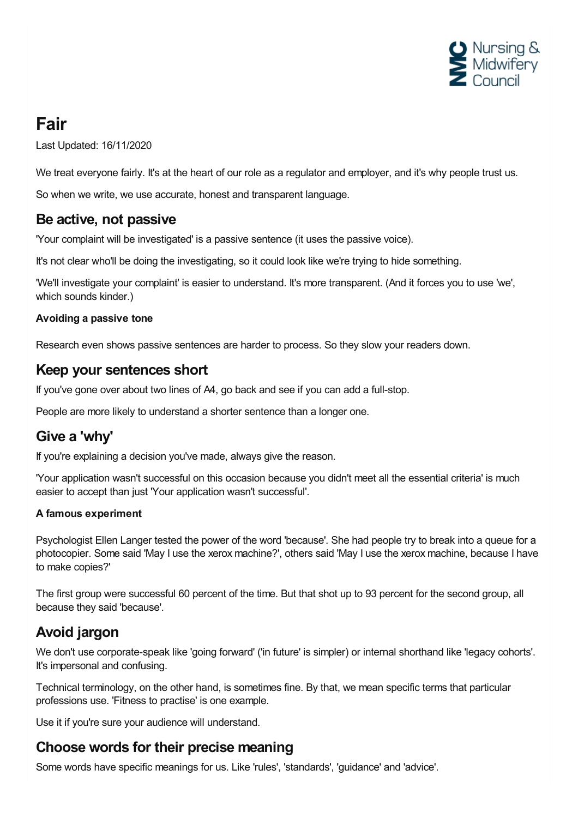

# **Fair**

Last Updated: 16/11/2020

We treat everyone fairly. It's at the heart of our role as a regulator and employer, and it's why people trust us.

So when we write, we use accurate, honest and transparent language.

### **Be active, not passive**

'Your complaint will be investigated' is a passive sentence (it uses the passive voice).

It's not clear who'll be doing the investigating, so it could look like we're trying to hide something.

'We'll investigate your complaint' is easier to understand. It's more transparent. (And it forces you to use 'we', which sounds kinder.)

#### **Avoiding a passive tone**

Research even shows passive sentences are harder to process. So they slow your readers down.

#### **Keep your sentences short**

If you've gone over about two lines of A4, go back and see if you can add a full-stop.

People are more likely to understand a shorter sentence than a longer one.

### **Give a 'why'**

If you're explaining a decision you've made, always give the reason.

'Your application wasn't successful on this occasion because you didn't meet all the essential criteria' is much easier to accept than just 'Your application wasn't successful'.

#### **A famous experiment**

Psychologist Ellen Langer tested the power of the word 'because'. She had people try to break into a queue for a photocopier. Some said 'May I use the xerox machine?', others said 'May I use the xerox machine, because I have to make copies?'

The first group were successful 60 percent of the time. But that shot up to 93 percent for the second group, all because they said 'because'.

## **Avoid jargon**

We don't use corporate-speak like 'going forward' ('in future' is simpler) or internal shorthand like 'legacy cohorts'. It's impersonal and confusing.

Technical terminology, on the other hand, is sometimes fine. By that, we mean specific terms that particular professions use. 'Fitness to practise' is one example.

Use it if you're sure your audience will understand.

#### **Choose words for their precise meaning**

Some words have specific meanings for us. Like 'rules', 'standards', 'guidance' and 'advice'.